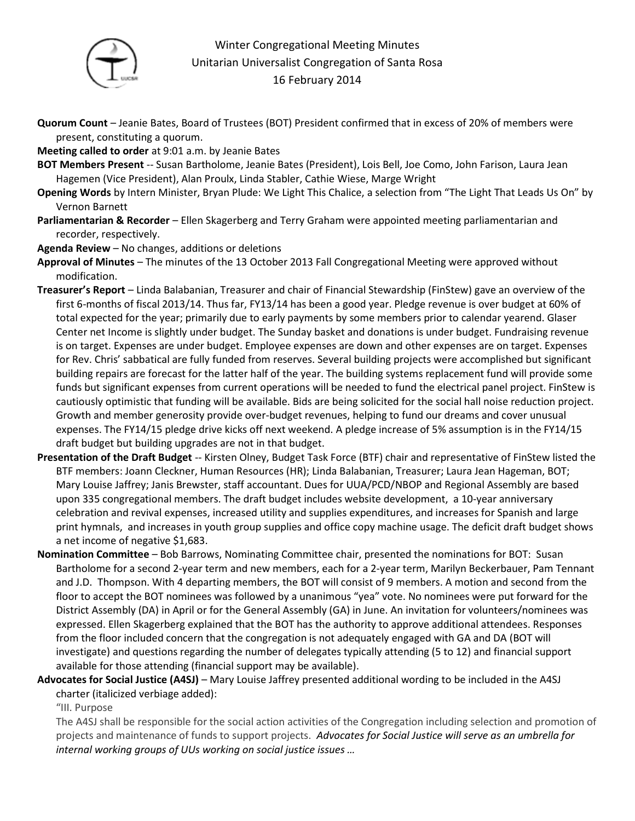

## Winter Congregational Meeting Minutes Unitarian Universalist Congregation of Santa Rosa 16 February 2014

- **Quorum Count** Jeanie Bates, Board of Trustees (BOT) President confirmed that in excess of 20% of members were present, constituting a quorum.
- **Meeting called to order** at 9:01 a.m. by Jeanie Bates
- **BOT Members Present** -- Susan Bartholome, Jeanie Bates (President), Lois Bell, Joe Como, John Farison, Laura Jean Hagemen (Vice President), Alan Proulx, Linda Stabler, Cathie Wiese, Marge Wright
- **Opening Words** by Intern Minister, Bryan Plude: We Light This Chalice, a selection from "The Light That Leads Us On" by Vernon Barnett
- **Parliamentarian & Recorder**  Ellen Skagerberg and Terry Graham were appointed meeting parliamentarian and recorder, respectively.
- **Agenda Review** No changes, additions or deletions
- **Approval of Minutes** The minutes of the 13 October 2013 Fall Congregational Meeting were approved without modification.
- **Treasurer's Report** Linda Balabanian, Treasurer and chair of Financial Stewardship (FinStew) gave an overview of the first 6-months of fiscal 2013/14. Thus far, FY13/14 has been a good year. Pledge revenue is over budget at 60% of total expected for the year; primarily due to early payments by some members prior to calendar yearend. Glaser Center net Income is slightly under budget. The Sunday basket and donations is under budget. Fundraising revenue is on target. Expenses are under budget. Employee expenses are down and other expenses are on target. Expenses for Rev. Chris' sabbatical are fully funded from reserves. Several building projects were accomplished but significant building repairs are forecast for the latter half of the year. The building systems replacement fund will provide some funds but significant expenses from current operations will be needed to fund the electrical panel project. FinStew is cautiously optimistic that funding will be available. Bids are being solicited for the social hall noise reduction project. Growth and member generosity provide over-budget revenues, helping to fund our dreams and cover unusual expenses. The FY14/15 pledge drive kicks off next weekend. A pledge increase of 5% assumption is in the FY14/15 draft budget but building upgrades are not in that budget.
- **Presentation of the Draft Budget** -- Kirsten Olney, Budget Task Force (BTF) chair and representative of FinStew listed the BTF members: Joann Cleckner, Human Resources (HR); Linda Balabanian, Treasurer; Laura Jean Hageman, BOT; Mary Louise Jaffrey; Janis Brewster, staff accountant. Dues for UUA/PCD/NBOP and Regional Assembly are based upon 335 congregational members. The draft budget includes website development, a 10-year anniversary celebration and revival expenses, increased utility and supplies expenditures, and increases for Spanish and large print hymnals, and increases in youth group supplies and office copy machine usage. The deficit draft budget shows a net income of negative \$1,683.
- **Nomination Committee** Bob Barrows, Nominating Committee chair, presented the nominations for BOT: Susan Bartholome for a second 2-year term and new members, each for a 2-year term, Marilyn Beckerbauer, Pam Tennant and J.D. Thompson. With 4 departing members, the BOT will consist of 9 members. A motion and second from the floor to accept the BOT nominees was followed by a unanimous "yea" vote. No nominees were put forward for the District Assembly (DA) in April or for the General Assembly (GA) in June. An invitation for volunteers/nominees was expressed. Ellen Skagerberg explained that the BOT has the authority to approve additional attendees. Responses from the floor included concern that the congregation is not adequately engaged with GA and DA (BOT will investigate) and questions regarding the number of delegates typically attending (5 to 12) and financial support available for those attending (financial support may be available).
- **Advocates for Social Justice (A4SJ)** Mary Louise Jaffrey presented additional wording to be included in the A4SJ charter (italicized verbiage added):

"III. Purpose

The A4SJ shall be responsible for the social action activities of the Congregation including selection and promotion of projects and maintenance of funds to support projects. *Advocates for Social Justice will serve as an umbrella for internal working groups of UUs working on social justice issues …*